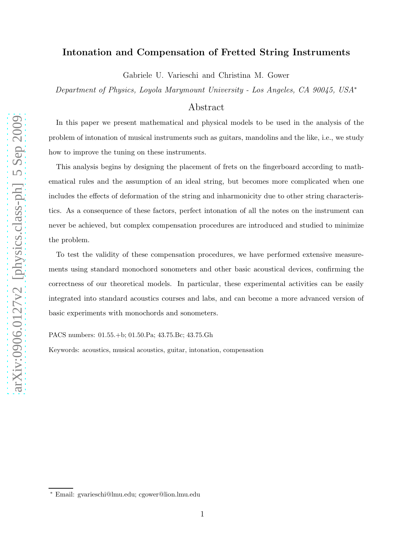# Intonation and Compensation of Fretted String Instruments

Gabriele U. Varieschi and Christina M. Gower

Department of Physics, Loyola Marymount University - Los Angeles, CA 90045, USA<sup>∗</sup>

# Abstract

In this paper we present mathematical and physical models to be used in the analysis of the problem of intonation of musical instruments such as guitars, mandolins and the like, i.e., we study how to improve the tuning on these instruments.

This analysis begins by designing the placement of frets on the fingerboard according to mathematical rules and the assumption of an ideal string, but becomes more complicated when one includes the effects of deformation of the string and inharmonicity due to other string characteristics. As a consequence of these factors, perfect intonation of all the notes on the instrument can never be achieved, but complex compensation procedures are introduced and studied to minimize the problem.

To test the validity of these compensation procedures, we have performed extensive measurements using standard monochord sonometers and other basic acoustical devices, confirming the correctness of our theoretical models. In particular, these experimental activities can be easily integrated into standard acoustics courses and labs, and can become a more advanced version of basic experiments with monochords and sonometers.

PACS numbers: 01.55.+b; 01.50.Pa; 43.75.Bc; 43.75.Gh

Keywords: acoustics, musical acoustics, guitar, intonation, compensation

<sup>∗</sup> Email: gvarieschi@lmu.edu; cgower@lion.lmu.edu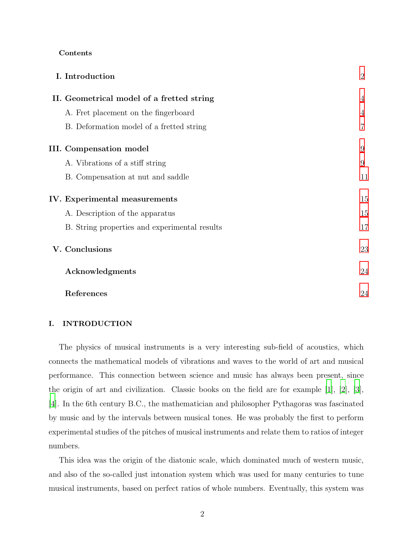## Contents

| I. Introduction                               | $\overline{2}$ |
|-----------------------------------------------|----------------|
| II. Geometrical model of a fretted string     | 4              |
| A. Fret placement on the fingerboard          | 4              |
| B. Deformation model of a fretted string      |                |
| <b>III.</b> Compensation model                | 9              |
| A. Vibrations of a stiff string               | 9              |
| B. Compensation at nut and saddle             | 11             |
| IV. Experimental measurements                 | 15             |
| A. Description of the apparatus               | 15             |
| B. String properties and experimental results | 17             |
| V. Conclusions                                | 23             |
| Acknowledgments                               | 24             |
| References                                    | 24             |

# <span id="page-1-0"></span>I. INTRODUCTION

The physics of musical instruments is a very interesting sub-field of acoustics, which connects the mathematical models of vibrations and waves to the world of art and musical performance. This connection between science and music has always been present, since the origin of art and civilization. Classic books on the field are for example [\[1\]](#page-23-2), [\[2\]](#page-23-3), [\[3\]](#page-23-4), [\[4](#page-23-5)]. In the 6th century B.C., the mathematician and philosopher Pythagoras was fascinated by music and by the intervals between musical tones. He was probably the first to perform experimental studies of the pitches of musical instruments and relate them to ratios of integer numbers.

This idea was the origin of the diatonic scale, which dominated much of western music, and also of the so-called just intonation system which was used for many centuries to tune musical instruments, based on perfect ratios of whole numbers. Eventually, this system was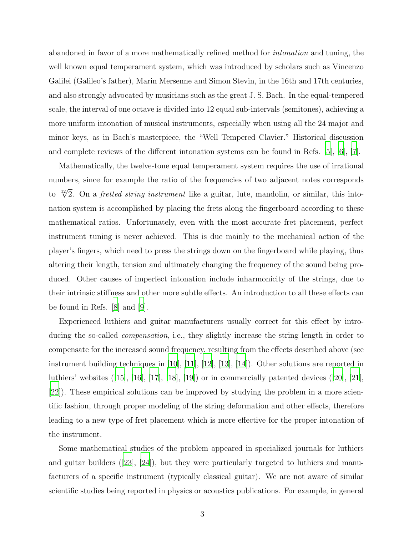abandoned in favor of a more mathematically refined method for intonation and tuning, the well known equal temperament system, which was introduced by scholars such as Vincenzo Galilei (Galileo's father), Marin Mersenne and Simon Stevin, in the 16th and 17th centuries, and also strongly advocated by musicians such as the great J. S. Bach. In the equal-tempered scale, the interval of one octave is divided into 12 equal sub-intervals (semitones), achieving a more uniform intonation of musical instruments, especially when using all the 24 major and minor keys, as in Bach's masterpiece, the "Well Tempered Clavier." Historical discussion and complete reviews of the different intonation systems can be found in Refs. [\[5](#page-23-6)], [\[6\]](#page-23-7), [\[7](#page-23-8)].

Mathematically, the twelve-tone equal temperament system requires the use of irrational numbers, since for example the ratio of the frequencies of two adjacent notes corresponds to  $\sqrt[12]{2}$ . On a *fretted string instrument* like a guitar, lute, mandolin, or similar, this intonation system is accomplished by placing the frets along the fingerboard according to these mathematical ratios. Unfortunately, even with the most accurate fret placement, perfect instrument tuning is never achieved. This is due mainly to the mechanical action of the player's fingers, which need to press the strings down on the fingerboard while playing, thus altering their length, tension and ultimately changing the frequency of the sound being produced. Other causes of imperfect intonation include inharmonicity of the strings, due to their intrinsic stiffness and other more subtle effects. An introduction to all these effects can be found in Refs. [\[8\]](#page-23-9) and [\[9\]](#page-24-0).

Experienced luthiers and guitar manufacturers usually correct for this effect by introducing the so-called *compensation*, i.e., they slightly increase the string length in order to compensate for the increased sound frequency, resulting from the effects described above (see instrument building techniques in [\[10](#page-24-1)], [\[11\]](#page-24-2), [\[12\]](#page-24-3), [\[13](#page-24-4)], [\[14](#page-24-5)]). Other solutions are reported in luthiers' websites ([\[15\]](#page-24-6), [\[16](#page-24-7)], [\[17\]](#page-24-8), [\[18](#page-24-9)], [\[19\]](#page-24-10)) or in commercially patented devices ([\[20](#page-24-11)], [\[21\]](#page-24-12), [\[22\]](#page-24-13)). These empirical solutions can be improved by studying the problem in a more scientific fashion, through proper modeling of the string deformation and other effects, therefore leading to a new type of fret placement which is more effective for the proper intonation of the instrument.

Some mathematical studies of the problem appeared in specialized journals for luthiers and guitar builders  $([23], [24])$  $([23], [24])$  $([23], [24])$  $([23], [24])$  $([23], [24])$ , but they were particularly targeted to luthiers and manufacturers of a specific instrument (typically classical guitar). We are not aware of similar scientific studies being reported in physics or acoustics publications. For example, in general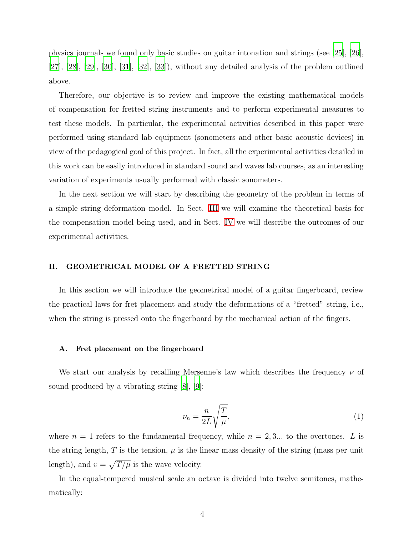physics journals we found only basic studies on guitar intonation and strings (see [\[25\]](#page-24-16), [\[26\]](#page-24-17),  $[27]$ ,  $[28]$ ,  $[29]$ ,  $[30]$ ,  $[31]$ ,  $[32]$ ,  $[33]$ ), without any detailed analysis of the problem outlined above.

Therefore, our objective is to review and improve the existing mathematical models of compensation for fretted string instruments and to perform experimental measures to test these models. In particular, the experimental activities described in this paper were performed using standard lab equipment (sonometers and other basic acoustic devices) in view of the pedagogical goal of this project. In fact, all the experimental activities detailed in this work can be easily introduced in standard sound and waves lab courses, as an interesting variation of experiments usually performed with classic sonometers.

In the next section we will start by describing the geometry of the problem in terms of a simple string deformation model. In Sect. [III](#page-8-0) we will examine the theoretical basis for the compensation model being used, and in Sect. [IV](#page-14-0) we will describe the outcomes of our experimental activities.

## <span id="page-3-0"></span>II. GEOMETRICAL MODEL OF A FRETTED STRING

In this section we will introduce the geometrical model of a guitar fingerboard, review the practical laws for fret placement and study the deformations of a "fretted" string, i.e., when the string is pressed onto the fingerboard by the mechanical action of the fingers.

#### <span id="page-3-1"></span>A. Fret placement on the fingerboard

We start our analysis by recalling Mersenne's law which describes the frequency  $\nu$  of sound produced by a vibrating string [\[8\]](#page-23-9), [\[9](#page-24-0)]:

<span id="page-3-2"></span>
$$
\nu_n = \frac{n}{2L} \sqrt{\frac{T}{\mu}},\tag{1}
$$

where  $n = 1$  refers to the fundamental frequency, while  $n = 2, 3...$  to the overtones. L is the string length,  $T$  is the tension,  $\mu$  is the linear mass density of the string (mass per unit length), and  $v = \sqrt{T/\mu}$  is the wave velocity.

In the equal-tempered musical scale an octave is divided into twelve semitones, mathematically: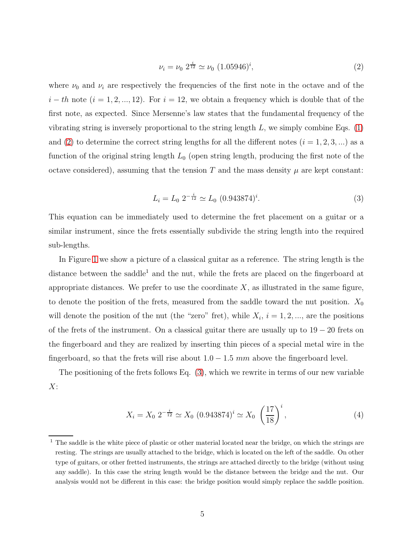<span id="page-4-0"></span>
$$
\nu_i = \nu_0 \ 2^{\frac{i}{12}} \simeq \nu_0 \ (1.05946)^i,\tag{2}
$$

where  $\nu_0$  and  $\nu_i$  are respectively the frequencies of the first note in the octave and of the  $i-th$  note  $(i = 1, 2, ..., 12)$ . For  $i = 12$ , we obtain a frequency which is double that of the first note, as expected. Since Mersenne's law states that the fundamental frequency of the vibrating string is inversely proportional to the string length  $L$ , we simply combine Eqs. [\(1\)](#page-3-2) and [\(2\)](#page-4-0) to determine the correct string lengths for all the different notes  $(i = 1, 2, 3, ...)$  as a function of the original string length  $L_0$  (open string length, producing the first note of the octave considered), assuming that the tension T and the mass density  $\mu$  are kept constant:

<span id="page-4-1"></span>
$$
L_i = L_0 \ 2^{-\frac{i}{12}} \simeq L_0 \ (0.943874)^i. \tag{3}
$$

This equation can be immediately used to determine the fret placement on a guitar or a similar instrument, since the frets essentially subdivide the string length into the required sub-lengths.

In Figure [1](#page-5-0) we show a picture of a classical guitar as a reference. The string length is the distance between the saddle<sup>1</sup> and the nut, while the frets are placed on the fingerboard at appropriate distances. We prefer to use the coordinate  $X$ , as illustrated in the same figure, to denote the position of the frets, measured from the saddle toward the nut position.  $X_0$ will denote the position of the nut (the "zero" fret), while  $X_i$ ,  $i = 1, 2, \dots$ , are the positions of the frets of the instrument. On a classical guitar there are usually up to 19 − 20 frets on the fingerboard and they are realized by inserting thin pieces of a special metal wire in the fingerboard, so that the frets will rise about  $1.0 - 1.5$  mm above the fingerboard level.

The positioning of the frets follows Eq. [\(3\)](#page-4-1), which we rewrite in terms of our new variable  $X$ :

<span id="page-4-2"></span>
$$
X_i = X_0 \ 2^{-\frac{i}{12}} \simeq X_0 \ (0.943874)^i \simeq X_0 \ \left(\frac{17}{18}\right)^i,\tag{4}
$$

<sup>&</sup>lt;sup>1</sup> The saddle is the white piece of plastic or other material located near the bridge, on which the strings are resting. The strings are usually attached to the bridge, which is located on the left of the saddle. On other type of guitars, or other fretted instruments, the strings are attached directly to the bridge (without using any saddle). In this case the string length would be the distance between the bridge and the nut. Our analysis would not be different in this case: the bridge position would simply replace the saddle position.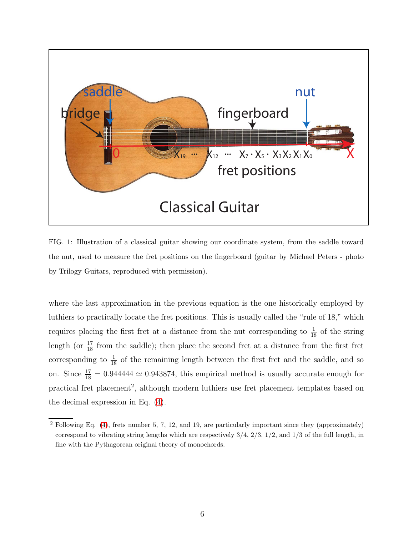

<span id="page-5-0"></span>FIG. 1: Illustration of a classical guitar showing our coordinate system, from the saddle toward the nut, used to measure the fret positions on the fingerboard (guitar by Michael Peters - photo by Trilogy Guitars, reproduced with permission).

where the last approximation in the previous equation is the one historically employed by luthiers to practically locate the fret positions. This is usually called the "rule of 18," which requires placing the first fret at a distance from the nut corresponding to  $\frac{1}{18}$  of the string length (or  $\frac{17}{18}$  from the saddle); then place the second fret at a distance from the first fret corresponding to  $\frac{1}{18}$  of the remaining length between the first fret and the saddle, and so on. Since  $\frac{17}{18} = 0.944444 \simeq 0.943874$ , this empirical method is usually accurate enough for practical fret placement<sup>2</sup>, although modern luthiers use fret placement templates based on the decimal expression in Eq. [\(4\)](#page-4-2).

<sup>2</sup> Following Eq. [\(4\)](#page-4-2), frets number 5, 7, 12, and 19, are particularly important since they (approximately) correspond to vibrating string lengths which are respectively  $3/4$ ,  $2/3$ ,  $1/2$ , and  $1/3$  of the full length, in line with the Pythagorean original theory of monochords.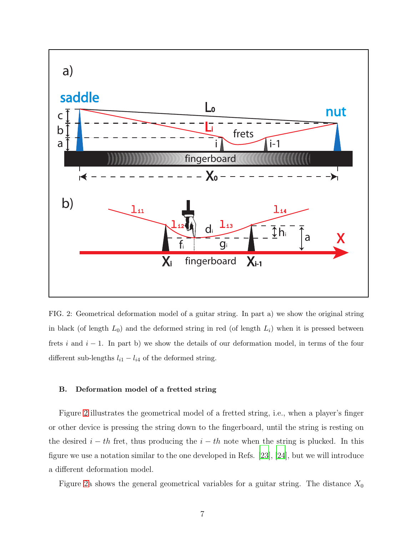

<span id="page-6-1"></span>FIG. 2: Geometrical deformation model of a guitar string. In part a) we show the original string in black (of length  $L_0$ ) and the deformed string in red (of length  $L_i$ ) when it is pressed between frets i and  $i - 1$ . In part b) we show the details of our deformation model, in terms of the four different sub-lengths  $l_{i1} - l_{i4}$  of the deformed string.

## <span id="page-6-0"></span>B. Deformation model of a fretted string

Figure [2](#page-6-1) illustrates the geometrical model of a fretted string, i.e., when a player's finger or other device is pressing the string down to the fingerboard, until the string is resting on the desired  $i - th$  fret, thus producing the  $i - th$  note when the string is plucked. In this figure we use a notation similar to the one developed in Refs. [\[23](#page-24-14)], [\[24\]](#page-24-15), but we will introduce a different deformation model.

Figure [2a](#page-6-1) shows the general geometrical variables for a guitar string. The distance  $X_0$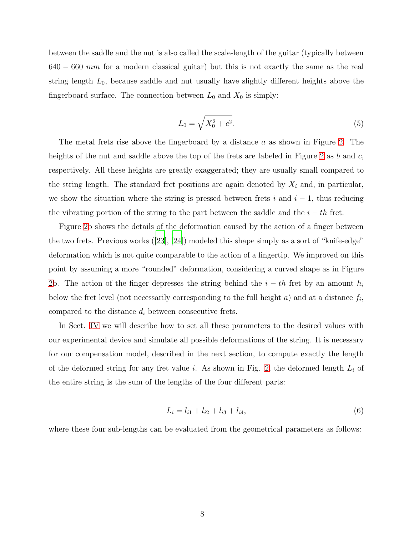between the saddle and the nut is also called the scale-length of the guitar (typically between  $640 - 660$  mm for a modern classical guitar) but this is not exactly the same as the real string length  $L_0$ , because saddle and nut usually have slightly different heights above the fingerboard surface. The connection between  $L_0$  and  $X_0$  is simply:

<span id="page-7-0"></span>
$$
L_0 = \sqrt{X_0^2 + c^2}.\tag{5}
$$

The metal frets rise above the fingerboard by a distance a as shown in Figure [2.](#page-6-1) The heights of the nut and saddle above the top of the frets are labeled in Figure [2](#page-6-1) as b and c, respectively. All these heights are greatly exaggerated; they are usually small compared to the string length. The standard fret positions are again denoted by  $X_i$  and, in particular, we show the situation where the string is pressed between frets i and  $i - 1$ , thus reducing the vibrating portion of the string to the part between the saddle and the  $i - th$  fret.

Figure [2b](#page-6-1) shows the details of the deformation caused by the action of a finger between the two frets. Previous works ([\[23](#page-24-14)], [\[24](#page-24-15)]) modeled this shape simply as a sort of "knife-edge" deformation which is not quite comparable to the action of a fingertip. We improved on this point by assuming a more "rounded" deformation, considering a curved shape as in Figure [2b](#page-6-1). The action of the finger depresses the string behind the  $i - th$  fret by an amount  $h_i$ below the fret level (not necessarily corresponding to the full height  $a$ ) and at a distance  $f_i$ , compared to the distance  $d_i$  between consecutive frets.

In Sect. [IV](#page-14-0) we will describe how to set all these parameters to the desired values with our experimental device and simulate all possible deformations of the string. It is necessary for our compensation model, described in the next section, to compute exactly the length of the deformed string for any fret value i. As shown in Fig. [2,](#page-6-1) the deformed length  $L_i$  of the entire string is the sum of the lengths of the four different parts:

<span id="page-7-1"></span>
$$
L_i = l_{i1} + l_{i2} + l_{i3} + l_{i4},\tag{6}
$$

where these four sub-lengths can be evaluated from the geometrical parameters as follows: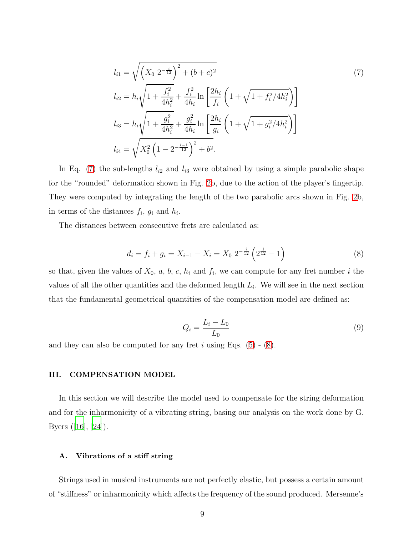<span id="page-8-2"></span>
$$
l_{i1} = \sqrt{\left(X_0 \ 2^{-\frac{i}{12}}\right)^2 + (b+c)^2}
$$
\n
$$
l_{i2} = h_i \sqrt{1 + \frac{f_i^2}{4h_i^2}} + \frac{f_i^2}{4h_i} \ln\left[\frac{2h_i}{f_i} \left(1 + \sqrt{1 + f_i^2/4h_i^2}\right)\right]
$$
\n
$$
l_{i3} = h_i \sqrt{1 + \frac{g_i^2}{4h_i^2}} + \frac{g_i^2}{4h_i} \ln\left[\frac{2h_i}{g_i} \left(1 + \sqrt{1 + g_i^2/4h_i^2}\right)\right]
$$
\n
$$
l_{i4} = \sqrt{X_0^2 \left(1 - 2^{-\frac{i-1}{12}}\right)^2 + b^2}.
$$
\n(7)

In Eq. [\(7\)](#page-8-2) the sub-lengths  $l_{i2}$  and  $l_{i3}$  were obtained by using a simple parabolic shape for the "rounded" deformation shown in Fig. [2b](#page-6-1), due to the action of the player's fingertip. They were computed by integrating the length of the two parabolic arcs shown in Fig. [2b](#page-6-1), in terms of the distances  $f_i$ ,  $g_i$  and  $h_i$ .

The distances between consecutive frets are calculated as:

<span id="page-8-3"></span>
$$
d_i = f_i + g_i = X_{i-1} - X_i = X_0 \; 2^{-\frac{i}{12}} \left( 2^{\frac{1}{12}} - 1 \right) \tag{8}
$$

so that, given the values of  $X_0$ , a, b, c,  $h_i$  and  $f_i$ , we can compute for any fret number i the values of all the other quantities and the deformed length  $L_i$ . We will see in the next section that the fundamental geometrical quantities of the compensation model are defined as:

<span id="page-8-4"></span>
$$
Q_i = \frac{L_i - L_0}{L_0} \tag{9}
$$

and they can also be computed for any fret i using Eqs.  $(5)$  -  $(8)$ .

### <span id="page-8-0"></span>III. COMPENSATION MODEL

In this section we will describe the model used to compensate for the string deformation and for the inharmonicity of a vibrating string, basing our analysis on the work done by G. Byers ([\[16\]](#page-24-7), [\[24](#page-24-15)]).

### <span id="page-8-1"></span>A. Vibrations of a stiff string

Strings used in musical instruments are not perfectly elastic, but possess a certain amount of "stiffness" or inharmonicity which affects the frequency of the sound produced. Mersenne's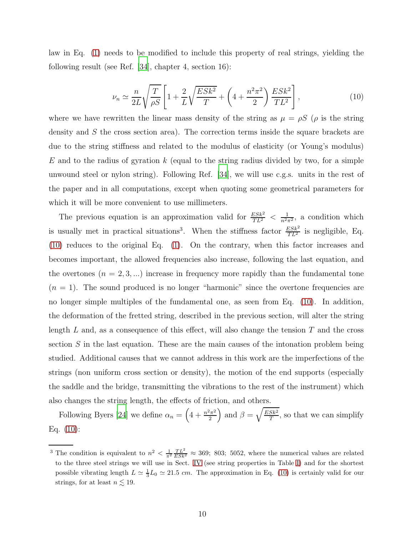law in Eq. [\(1\)](#page-3-2) needs to be modified to include this property of real strings, yielding the following result (see Ref. [\[34](#page-25-1)], chapter 4, section 16):

<span id="page-9-0"></span>
$$
\nu_n \simeq \frac{n}{2L} \sqrt{\frac{T}{\rho S}} \left[ 1 + \frac{2}{L} \sqrt{\frac{ESk^2}{T}} + \left( 4 + \frac{n^2 \pi^2}{2} \right) \frac{ESk^2}{TL^2} \right],\tag{10}
$$

where we have rewritten the linear mass density of the string as  $\mu = \rho S$  ( $\rho$  is the string density and S the cross section area). The correction terms inside the square brackets are due to the string stiffness and related to the modulus of elasticity (or Young's modulus)  $E$  and to the radius of gyration k (equal to the string radius divided by two, for a simple unwound steel or nylon string). Following Ref. [\[34](#page-25-1)], we will use c.g.s. units in the rest of the paper and in all computations, except when quoting some geometrical parameters for which it will be more convenient to use millimeters.

The previous equation is an approximation valid for  $\frac{ESk^2}{TL^2} < \frac{1}{n^2\pi^2}$ , a condition which is usually met in practical situations<sup>3</sup>. When the stiffness factor  $\frac{ESk^2}{TL^2}$  is negligible, Eq. [\(10\)](#page-9-0) reduces to the original Eq. [\(1\)](#page-3-2). On the contrary, when this factor increases and becomes important, the allowed frequencies also increase, following the last equation, and the overtones  $(n = 2, 3, \ldots)$  increase in frequency more rapidly than the fundamental tone  $(n = 1)$ . The sound produced is no longer "harmonic" since the overtone frequencies are no longer simple multiples of the fundamental one, as seen from Eq. [\(10\)](#page-9-0). In addition, the deformation of the fretted string, described in the previous section, will alter the string length  $L$  and, as a consequence of this effect, will also change the tension  $T$  and the cross section  $S$  in the last equation. These are the main causes of the intonation problem being studied. Additional causes that we cannot address in this work are the imperfections of the strings (non uniform cross section or density), the motion of the end supports (especially the saddle and the bridge, transmitting the vibrations to the rest of the instrument) which also changes the string length, the effects of friction, and others.

Following Byers [\[24](#page-24-15)] we define  $\alpha_n = \left(4 + \frac{n^2 \pi^2}{2}\right)$  $\left(\frac{2\pi^2}{2}\right)$  and  $\beta = \sqrt{\frac{ESk^2}{T}}$  $\frac{Sk^2}{T}$ , so that we can simplify Eq. [\(10\)](#page-9-0):

<sup>&</sup>lt;sup>3</sup> The condition is equivalent to  $n^2 < \frac{1}{\pi^2} \frac{TL^2}{ESk^2} \approx 369$ ; 803; 5052, where the numerical values are related to the three steel strings we will use in Sect. [IV](#page-14-0) (see string properties in Table [I\)](#page-16-1) and for the shortest possible vibrating length  $L \simeq \frac{1}{3}L_0 \simeq 21.5$  cm. The approximation in Eq. [\(10\)](#page-9-0) is certainly valid for our strings, for at least  $n \lesssim 19$ .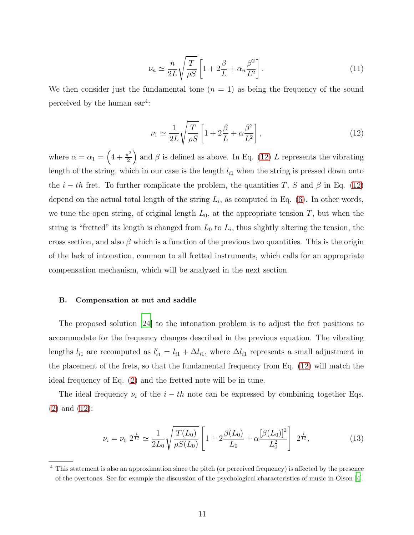$$
\nu_n \simeq \frac{n}{2L} \sqrt{\frac{T}{\rho S}} \left[ 1 + 2\frac{\beta}{L} + \alpha_n \frac{\beta^2}{L^2} \right].
$$
\n(11)

We then consider just the fundamental tone  $(n = 1)$  as being the frequency of the sound perceived by the human  $ear^4$ :

<span id="page-10-1"></span>
$$
\nu_1 \simeq \frac{1}{2L} \sqrt{\frac{T}{\rho S}} \left[ 1 + 2\frac{\beta}{L} + \alpha \frac{\beta^2}{L^2} \right],\tag{12}
$$

where  $\alpha = \alpha_1 = \left(4 + \frac{\pi^2}{2}\right)$  $\left(\frac{\pi^2}{2}\right)$  and  $\beta$  is defined as above. In Eq. [\(12\)](#page-10-1) L represents the vibrating length of the string, which in our case is the length  $l_{i1}$  when the string is pressed down onto the  $i - th$  fret. To further complicate the problem, the quantities T, S and  $\beta$  in Eq. [\(12\)](#page-10-1) depend on the actual total length of the string  $L_i$ , as computed in Eq. [\(6\)](#page-7-1). In other words, we tune the open string, of original length  $L_0$ , at the appropriate tension T, but when the string is "fretted" its length is changed from  $L_0$  to  $L_i$ , thus slightly altering the tension, the cross section, and also  $\beta$  which is a function of the previous two quantities. This is the origin of the lack of intonation, common to all fretted instruments, which calls for an appropriate compensation mechanism, which will be analyzed in the next section.

### <span id="page-10-0"></span>B. Compensation at nut and saddle

The proposed solution [\[24\]](#page-24-15) to the intonation problem is to adjust the fret positions to accommodate for the frequency changes described in the previous equation. The vibrating lengths  $l_{i1}$  are recomputed as  $l'_{i1} = l_{i1} + \Delta l_{i1}$ , where  $\Delta l_{i1}$  represents a small adjustment in the placement of the frets, so that the fundamental frequency from Eq. [\(12\)](#page-10-1) will match the ideal frequency of Eq. [\(2\)](#page-4-0) and the fretted note will be in tune.

The ideal frequency  $\nu_i$  of the  $i - th$  note can be expressed by combining together Eqs. [\(2\)](#page-4-0) and [\(12\)](#page-10-1):

<span id="page-10-2"></span>
$$
\nu_i = \nu_0 \ 2^{\frac{i}{12}} \simeq \frac{1}{2L_0} \sqrt{\frac{T(L_0)}{\rho S(L_0)}} \left[ 1 + 2 \frac{\beta(L_0)}{L_0} + \alpha \frac{[\beta(L_0)]^2}{L_0^2} \right] \ 2^{\frac{i}{12}},\tag{13}
$$

<sup>4</sup> This statement is also an approximation since the pitch (or perceived frequency) is affected by the presence of the overtones. See for example the discussion of the psychological characteristics of music in Olson [\[4\]](#page-23-5).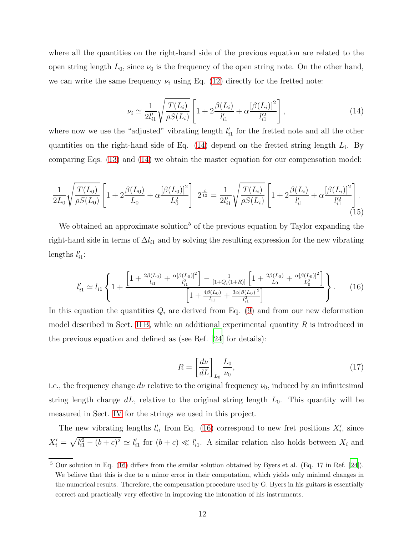where all the quantities on the right-hand side of the previous equation are related to the open string length  $L_0$ , since  $\nu_0$  is the frequency of the open string note. On the other hand, we can write the same frequency  $\nu_i$  using Eq. [\(12\)](#page-10-1) directly for the fretted note:

<span id="page-11-0"></span>
$$
\nu_i \simeq \frac{1}{2l'_{i1}} \sqrt{\frac{T(L_i)}{\rho S(L_i)}} \left[ 1 + 2\frac{\beta(L_i)}{l'_{i1}} + \alpha \frac{[\beta(L_i)]^2}{l'^2_{i1}} \right],\tag{14}
$$

where now we use the "adjusted" vibrating length  $l_i'$  $i_1$  for the fretted note and all the other quantities on the right-hand side of Eq.  $(14)$  depend on the fretted string length  $L_i$ . By comparing Eqs. [\(13\)](#page-10-2) and [\(14\)](#page-11-0) we obtain the master equation for our compensation model:

$$
\frac{1}{2L_0}\sqrt{\frac{T(L_0)}{\rho S(L_0)}} \left[1+2\frac{\beta(L_0)}{L_0}+\alpha\frac{[\beta(L_0)]^2}{L_0^2}\right] 2^{\frac{i}{12}} = \frac{1}{2l'_{i1}}\sqrt{\frac{T(L_i)}{\rho S(L_i)}} \left[1+2\frac{\beta(L_i)}{l'_{i1}}+\alpha\frac{[\beta(L_i)]^2}{l'_{i1}^2}\right].
$$
\n(15)

We obtained an approximate solution<sup>5</sup> of the previous equation by Taylor expanding the right-hand side in terms of  $\Delta l_{i1}$  and by solving the resulting expression for the new vibrating lengths  $l_i'$  $_{i1}^{\prime}$ :

<span id="page-11-1"></span>
$$
l'_{i1} \simeq l_{i1} \left\{ 1 + \frac{\left[1 + \frac{2\beta(L_0)}{l_{i1}} + \frac{\alpha[\beta(L_0)]^2}{l_{i1}^2}\right] - \frac{1}{[1 + Q_i(1+R)]} \left[1 + \frac{2\beta(L_0)}{L_0} + \frac{\alpha[\beta(L_0)]^2}{L_0^2}\right]}{\left[1 + \frac{4\beta(L_0)}{l_{i1}} + \frac{3\alpha[\beta(L_0)]^2}{l_{i1}^2}\right]} \right\}.
$$
 (16)

In this equation the quantities  $Q_i$  are derived from Eq. [\(9\)](#page-8-4) and from our new deformation model described in Sect. [II B,](#page-6-0) while an additional experimental quantity  $R$  is introduced in the previous equation and defined as (see Ref. [\[24](#page-24-15)] for details):

<span id="page-11-2"></span>
$$
R = \left[\frac{d\nu}{dL}\right]_{L_0} \frac{L_0}{\nu_0},\tag{17}
$$

i.e., the frequency change  $d\nu$  relative to the original frequency  $\nu_0$ , induced by an infinitesimal string length change  $dL$ , relative to the original string length  $L_0$ . This quantity will be measured in Sect. [IV](#page-14-0) for the strings we used in this project.

The new vibrating lengths  $l_i'$  $\zeta_{i1}$  from Eq. [\(16\)](#page-11-1) correspond to new fret positions  $X'_{i}$ , since  $X'_i = \sqrt{l'^2_{i1} - (b + c)^2} \simeq l'_i$  $l'_{i1}$  for  $(b+c) \ll l'_{i}$  $i_1$ . A similar relation also holds between  $X_i$  and

<sup>5</sup> Our solution in Eq. [\(16\)](#page-11-1) differs from the similar solution obtained by Byers et al. (Eq. 17 in Ref. [\[24\]](#page-24-15)). We believe that this is due to a minor error in their computation, which yields only minimal changes in the numerical results. Therefore, the compensation procedure used by G. Byers in his guitars is essentially correct and practically very effective in improving the intonation of his instruments.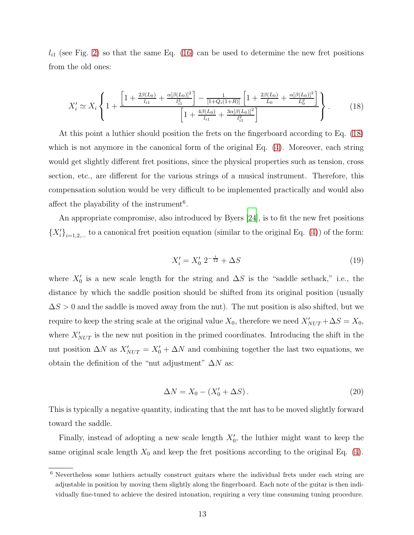$l_{i1}$  (see Fig. [2\)](#page-6-1) so that the same Eq. [\(16\)](#page-11-1) can be used to determine the new fret positions from the old ones:

<span id="page-12-0"></span>
$$
X'_{i} \simeq X_{i} \left\{ 1 + \frac{\left[1 + \frac{2\beta(L_{0})}{l_{i1}} + \frac{\alpha[\beta(L_{0})]^{2}}{l_{i1}^{2}}\right] - \frac{1}{[1 + Q_{i}(1 + R)]} \left[1 + \frac{2\beta(L_{0})}{L_{0}} + \frac{\alpha[\beta(L_{0})]^{2}}{L_{0}^{2}}\right]}{\left[1 + \frac{4\beta(L_{0})}{l_{i1}} + \frac{3\alpha[\beta(L_{0})]^{2}}{l_{i1}^{2}}\right]}\right\}.
$$
 (18)

At this point a luthier should position the frets on the fingerboard according to Eq. [\(18\)](#page-12-0) which is not anymore in the canonical form of the original Eq.  $(4)$ . Moreover, each string would get slightly different fret positions, since the physical properties such as tension, cross section, etc., are different for the various strings of a musical instrument. Therefore, this compensation solution would be very difficult to be implemented practically and would also affect the playability of the instrument<sup>6</sup>.

An appropriate compromise, also introduced by Byers [\[24\]](#page-24-15), is to fit the new fret positions  ${X'_i}_{i=1,2,...}$  to a canonical fret position equation (similar to the original Eq. [\(4\)](#page-4-2)) of the form:

$$
X_i' = X_0' \ 2^{-\frac{i}{12}} + \Delta S \tag{19}
$$

where  $X'_0$  is a new scale length for the string and  $\Delta S$  is the "saddle setback," i.e., the distance by which the saddle position should be shifted from its original position (usually  $\Delta S > 0$  and the saddle is moved away from the nut). The nut position is also shifted, but we require to keep the string scale at the original value  $X_0$ , therefore we need  $X'_{NUT} + \Delta S = X_0$ , where  $X'_{NUT}$  is the new nut position in the primed coordinates. Introducing the shift in the nut position  $\Delta N$  as  $X'_{NUT} = X'_0 + \Delta N$  and combining together the last two equations, we obtain the definition of the "nut adjustment"  $\Delta N$  as:

$$
\Delta N = X_0 - (X'_0 + \Delta S). \tag{20}
$$

This is typically a negative quantity, indicating that the nut has to be moved slightly forward toward the saddle.

Finally, instead of adopting a new scale length  $X'_0$ , the luthier might want to keep the same original scale length  $X_0$  and keep the fret positions according to the original Eq. [\(4\)](#page-4-2).

<sup>6</sup> Nevertheless some luthiers actually construct guitars where the individual frets under each string are adjustable in position by moving them slightly along the fingerboard. Each note of the guitar is then individually fine-tuned to achieve the desired intonation, requiring a very time consuming tuning procedure.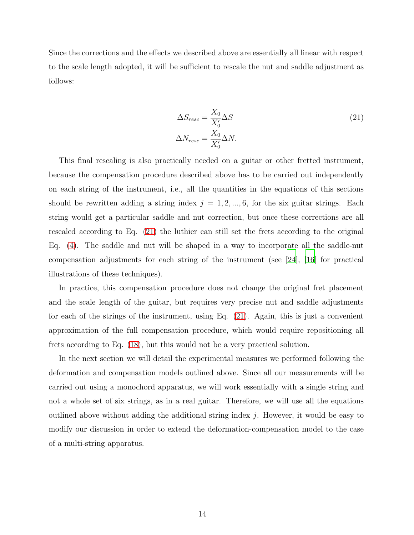Since the corrections and the effects we described above are essentially all linear with respect to the scale length adopted, it will be sufficient to rescale the nut and saddle adjustment as follows:

<span id="page-13-0"></span>
$$
\Delta S_{resc} = \frac{X_0}{X_0'} \Delta S
$$
\n
$$
\Delta N_{resc} = \frac{X_0}{X_0'} \Delta N.
$$
\n(21)

This final rescaling is also practically needed on a guitar or other fretted instrument, because the compensation procedure described above has to be carried out independently on each string of the instrument, i.e., all the quantities in the equations of this sections should be rewritten adding a string index  $j = 1, 2, ..., 6$ , for the six guitar strings. Each string would get a particular saddle and nut correction, but once these corrections are all rescaled according to Eq. [\(21\)](#page-13-0) the luthier can still set the frets according to the original Eq. [\(4\)](#page-4-2). The saddle and nut will be shaped in a way to incorporate all the saddle-nut compensation adjustments for each string of the instrument (see [\[24\]](#page-24-15), [\[16](#page-24-7)] for practical illustrations of these techniques).

In practice, this compensation procedure does not change the original fret placement and the scale length of the guitar, but requires very precise nut and saddle adjustments for each of the strings of the instrument, using Eq. [\(21\)](#page-13-0). Again, this is just a convenient approximation of the full compensation procedure, which would require repositioning all frets according to Eq. [\(18\)](#page-12-0), but this would not be a very practical solution.

In the next section we will detail the experimental measures we performed following the deformation and compensation models outlined above. Since all our measurements will be carried out using a monochord apparatus, we will work essentially with a single string and not a whole set of six strings, as in a real guitar. Therefore, we will use all the equations outlined above without adding the additional string index  $j$ . However, it would be easy to modify our discussion in order to extend the deformation-compensation model to the case of a multi-string apparatus.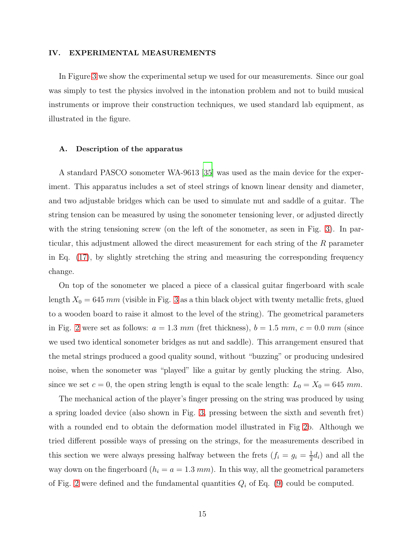### <span id="page-14-0"></span>IV. EXPERIMENTAL MEASUREMENTS

In Figure [3](#page-15-0) we show the experimental setup we used for our measurements. Since our goal was simply to test the physics involved in the intonation problem and not to build musical instruments or improve their construction techniques, we used standard lab equipment, as illustrated in the figure.

#### <span id="page-14-1"></span>A. Description of the apparatus

A standard PASCO sonometer WA-9613 [\[35](#page-25-2)] was used as the main device for the experiment. This apparatus includes a set of steel strings of known linear density and diameter, and two adjustable bridges which can be used to simulate nut and saddle of a guitar. The string tension can be measured by using the sonometer tensioning lever, or adjusted directly with the string tensioning screw (on the left of the sonometer, as seen in Fig. [3\)](#page-15-0). In particular, this adjustment allowed the direct measurement for each string of the R parameter in Eq. [\(17\)](#page-11-2), by slightly stretching the string and measuring the corresponding frequency change.

On top of the sonometer we placed a piece of a classical guitar fingerboard with scale length  $X_0 = 645$  mm (visible in Fig. [3](#page-15-0) as a thin black object with twenty metallic frets, glued to a wooden board to raise it almost to the level of the string). The geometrical parameters in Fig. [2](#page-6-1) were set as follows:  $a = 1.3 \, mm$  (fret thickness),  $b = 1.5 \, mm$ ,  $c = 0.0 \, mm$  (since we used two identical sonometer bridges as nut and saddle). This arrangement ensured that the metal strings produced a good quality sound, without "buzzing" or producing undesired noise, when the sonometer was "played" like a guitar by gently plucking the string. Also, since we set  $c = 0$ , the open string length is equal to the scale length:  $L_0 = X_0 = 645$  mm.

The mechanical action of the player's finger pressing on the string was produced by using a spring loaded device (also shown in Fig. [3,](#page-15-0) pressing between the sixth and seventh fret) with a rounded end to obtain the deformation model illustrated in Fig [2b](#page-6-1). Although we tried different possible ways of pressing on the strings, for the measurements described in this section we were always pressing halfway between the frets  $(f_i = g_i = \frac{1}{2})$  $\frac{1}{2}d_i$ ) and all the way down on the fingerboard  $(h_i = a = 1.3 \text{ mm})$ . In this way, all the geometrical parameters of Fig. [2](#page-6-1) were defined and the fundamental quantities  $Q_i$  of Eq. [\(9\)](#page-8-4) could be computed.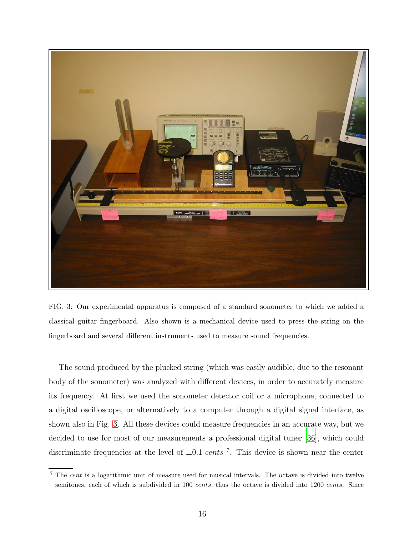

FIG. 3: Our experimental apparatus is composed of a standard sonometer to which we added a classical guitar fingerboard. Also shown is a mechanical device used to press the string on the fingerboard and several different instruments used to measure sound frequencies.

<span id="page-15-0"></span>The sound produced by the plucked string (which was easily audible, due to the resonant body of the sonometer) was analyzed with different devices, in order to accurately measure its frequency. At first we used the sonometer detector coil or a microphone, connected to a digital oscilloscope, or alternatively to a computer through a digital signal interface, as shown also in Fig. [3.](#page-15-0) All these devices could measure frequencies in an accurate way, but we decided to use for most of our measurements a professional digital tuner [\[36](#page-25-3)], which could discriminate frequencies at the level of  $\pm 0.1$  cents<sup>7</sup>. This device is shown near the center

<sup>7</sup> The cent is a logarithmic unit of measure used for musical intervals. The octave is divided into twelve semitones, each of which is subdivided in 100 cents, thus the octave is divided into 1200 cents. Since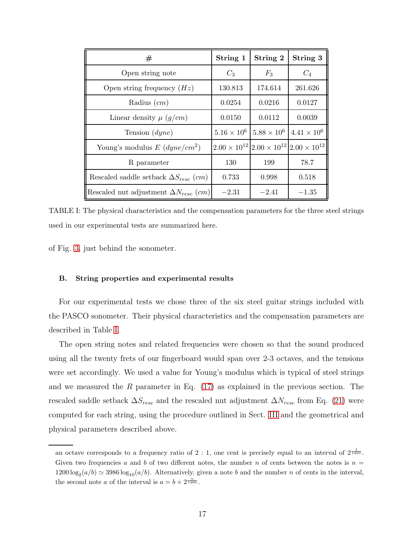| #                                              | String 1             | String 2                                                          | String 3             |
|------------------------------------------------|----------------------|-------------------------------------------------------------------|----------------------|
| Open string note                               | $C_3$                | $F_3$                                                             | $C_4$                |
| Open string frequency $(Hz)$                   | 130.813              | 174.614                                                           | 261.626              |
| Radius $(cm)$                                  | 0.0254               | 0.0216                                                            | 0.0127               |
| Linear density $\mu$ (g/cm)                    | 0.0150               | 0.0112                                                            | 0.0039               |
| Tension $(dyne)$                               | $5.16 \times 10^{6}$ | $5.88 \times 10^{6}$                                              | $4.41 \times 10^{6}$ |
| Young's modulus $E(dyne/cm^2)$                 |                      | $2.00 \times 10^{12}$ $2.00 \times 10^{12}$ $2.00 \times 10^{12}$ |                      |
| R parameter                                    | 130                  | 199                                                               | 78.7                 |
| Rescaled saddle setback $\Delta S_{resc}$ (cm) | 0.733                | 0.998                                                             | 0.518                |
| Rescaled nut adjustment $\Delta N_{resc}$ (cm) | $-2.31$              | $-2.41$                                                           | $-1.35$              |

<span id="page-16-1"></span>TABLE I: The physical characteristics and the compensation parameters for the three steel strings used in our experimental tests are summarized here.

of Fig. [3,](#page-15-0) just behind the sonometer.

## <span id="page-16-0"></span>B. String properties and experimental results

For our experimental tests we chose three of the six steel guitar strings included with the PASCO sonometer. Their physical characteristics and the compensation parameters are described in Table [I.](#page-16-1)

The open string notes and related frequencies were chosen so that the sound produced using all the twenty frets of our fingerboard would span over 2-3 octaves, and the tensions were set accordingly. We used a value for Young's modulus which is typical of steel strings and we measured the R parameter in Eq.  $(17)$  as explained in the previous section. The rescaled saddle setback  $\Delta S_{resc}$  and the rescaled nut adjustment  $\Delta N_{resc}$  from Eq. [\(21\)](#page-13-0) were computed for each string, using the procedure outlined in Sect. [III](#page-8-0) and the geometrical and physical parameters described above.

an octave corresponds to a frequency ratio of 2 : 1, one cent is precisely equal to an interval of  $2\frac{1}{1200}$ . Given two frequencies a and b of two different notes, the number n of cents between the notes is  $n =$  $1200 \log_2(a/b) \simeq 3986 \log_{10}(a/b)$ . Alternatively, given a note b and the number n of cents in the interval, the second note *a* of the interval is  $a = b \times 2^{\frac{n}{1200}}$ .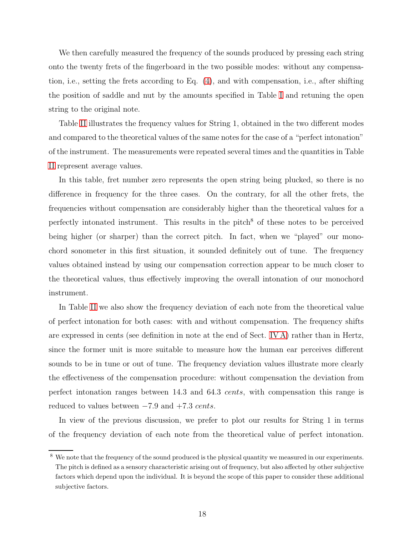We then carefully measured the frequency of the sounds produced by pressing each string onto the twenty frets of the fingerboard in the two possible modes: without any compensation, i.e., setting the frets according to Eq. [\(4\)](#page-4-2), and with compensation, i.e., after shifting the position of saddle and nut by the amounts specified in Table [I](#page-16-1) and retuning the open string to the original note.

Table [II](#page-18-0) illustrates the frequency values for String 1, obtained in the two different modes and compared to the theoretical values of the same notes for the case of a "perfect intonation" of the instrument. The measurements were repeated several times and the quantities in Table [II](#page-18-0) represent average values.

In this table, fret number zero represents the open string being plucked, so there is no difference in frequency for the three cases. On the contrary, for all the other frets, the frequencies without compensation are considerably higher than the theoretical values for a perfectly intonated instrument. This results in the pitch<sup>8</sup> of these notes to be perceived being higher (or sharper) than the correct pitch. In fact, when we "played" our monochord sonometer in this first situation, it sounded definitely out of tune. The frequency values obtained instead by using our compensation correction appear to be much closer to the theoretical values, thus effectively improving the overall intonation of our monochord instrument.

In Table [II](#page-18-0) we also show the frequency deviation of each note from the theoretical value of perfect intonation for both cases: with and without compensation. The frequency shifts are expressed in cents (see definition in note at the end of Sect. [IV](#page-14-1) A) rather than in Hertz, since the former unit is more suitable to measure how the human ear perceives different sounds to be in tune or out of tune. The frequency deviation values illustrate more clearly the effectiveness of the compensation procedure: without compensation the deviation from perfect intonation ranges between 14.3 and 64.3 cents, with compensation this range is reduced to values between  $-7.9$  and  $+7.3$  cents.

In view of the previous discussion, we prefer to plot our results for String 1 in terms of the frequency deviation of each note from the theoretical value of perfect intonation.

<sup>&</sup>lt;sup>8</sup> We note that the frequency of the sound produced is the physical quantity we measured in our experiments. The pitch is defined as a sensory characteristic arising out of frequency, but also affected by other subjective factors which depend upon the individual. It is beyond the scope of this paper to consider these additional subjective factors.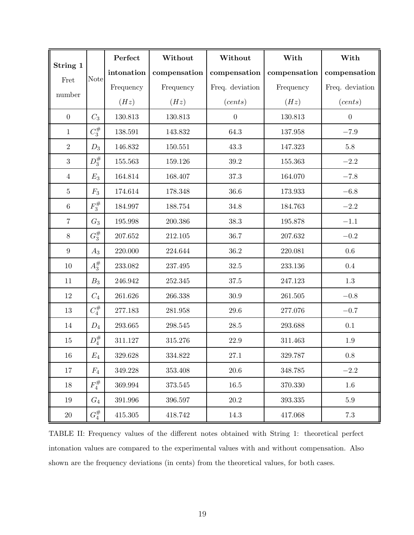|                |             | Perfect    | Without      | Without          | With         | With             |
|----------------|-------------|------------|--------------|------------------|--------------|------------------|
| String 1       | <b>Note</b> | intonation | compensation | compensation     | compensation | compensation     |
| Fret           |             | Frequency  | Frequency    | Freq. deviation  | Frequency    | Freq. deviation  |
| number         |             | (Hz)       | (Hz)         | (cents)          | (Hz)         | (cents)          |
| $\overline{0}$ | $C_3$       | 130.813    | 130.813      | $\boldsymbol{0}$ | 130.813      | $\boldsymbol{0}$ |
| $\mathbf{1}$   | $C_3^{\#}$  | 138.591    | 143.832      | 64.3             | 137.958      | $-7.9$           |
| $\overline{2}$ | $D_3$       | 146.832    | 150.551      | 43.3             | 147.323      | $5.8\,$          |
| 3              | $D_3^{\#}$  | 155.563    | 159.126      | $39.2\,$         | 155.363      | $-2.2$           |
| $\overline{4}$ | $E_3$       | 164.814    | 168.407      | 37.3             | 164.070      | $-7.8$           |
| $\overline{5}$ | $F_3$       | 174.614    | 178.348      | 36.6             | 173.933      | $-6.8\,$         |
| $\,6\,$        | $F_3^{\#}$  | 184.997    | 188.754      | 34.8             | 184.763      | $-2.2$           |
| $\overline{7}$ | $G_3$       | 195.998    | 200.386      | 38.3             | 195.878      | $-1.1$           |
| $8\,$          | $G_3^{\#}$  | 207.652    | 212.105      | 36.7             | 207.632      | $-0.2$           |
| 9              | $A_3$       | 220.000    | 224.644      | $36.2\,$         | 220.081      | $0.6\,$          |
| $10\,$         | $A_3^{\#}$  | 233.082    | 237.495      | $32.5\,$         | 233.136      | $0.4\,$          |
| 11             | $B_3$       | 246.942    | 252.345      | $37.5\,$         | 247.123      | $1.3\,$          |
| $12\,$         | $C_4$       | 261.626    | 266.338      | $30.9\,$         | 261.505      | $-0.8\,$         |
| 13             | $C_4^{\#}$  | 277.183    | 281.958      | $29.6\,$         | 277.076      | $-0.7$           |
| 14             | $D_4$       | 293.665    | 298.545      | 28.5             | 293.688      | 0.1              |
| 15             | $D_4^\#$    | 311.127    | 315.276      | 22.9             | 311.463      | $1.9\,$          |
| 16             | $E_4$       | 329.628    | 334.822      | $27.1\,$         | 329.787      | $0.8\,$          |
| 17             | $F_4$       | 349.228    | 353.408      | 20.6             | 348.785      | $-2.2$           |
| 18             | $F_4^{\#}$  | 369.994    | 373.545      | $16.5\,$         | 370.330      | 1.6              |
| 19             | $G_4$       | 391.996    | 396.597      | $20.2\,$         | 393.335      | $5.9\,$          |
| $20\,$         | $G_4^{\#}$  | 415.305    | 418.742      | 14.3             | 417.068      | $7.3\,$          |

<span id="page-18-0"></span>TABLE II: Frequency values of the different notes obtained with String 1: theoretical perfect intonation values are compared to the experimental values with and without compensation. Also shown are the frequency deviations (in cents) from the theoretical values, for both cases.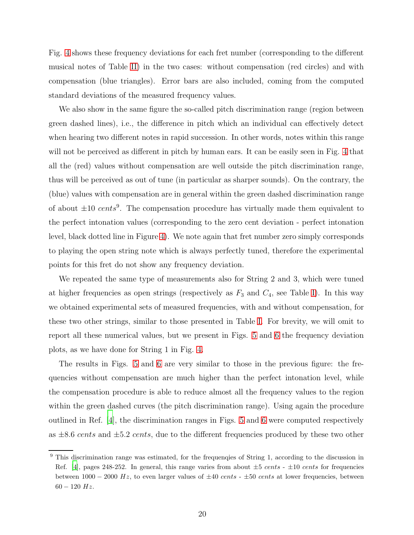Fig. [4](#page-20-0) shows these frequency deviations for each fret number (corresponding to the different musical notes of Table [II\)](#page-18-0) in the two cases: without compensation (red circles) and with compensation (blue triangles). Error bars are also included, coming from the computed standard deviations of the measured frequency values.

We also show in the same figure the so-called pitch discrimination range (region between green dashed lines), i.e., the difference in pitch which an individual can effectively detect when hearing two different notes in rapid succession. In other words, notes within this range will not be perceived as different in pitch by human ears. It can be easily seen in Fig. [4](#page-20-0) that all the (red) values without compensation are well outside the pitch discrimination range, thus will be perceived as out of tune (in particular as sharper sounds). On the contrary, the (blue) values with compensation are in general within the green dashed discrimination range of about  $\pm 10 \text{ cents}^9$ . The compensation procedure has virtually made them equivalent to the perfect intonation values (corresponding to the zero cent deviation - perfect intonation level, black dotted line in Figure [4\)](#page-20-0). We note again that fret number zero simply corresponds to playing the open string note which is always perfectly tuned, therefore the experimental points for this fret do not show any frequency deviation.

We repeated the same type of measurements also for String 2 and 3, which were tuned at higher frequencies as open strings (respectively as  $F_3$  and  $C_4$ , see Table [I\)](#page-16-1). In this way we obtained experimental sets of measured frequencies, with and without compensation, for these two other strings, similar to those presented in Table [I.](#page-16-1) For brevity, we will omit to report all these numerical values, but we present in Figs. [5](#page-21-0) and [6](#page-22-1) the frequency deviation plots, as we have done for String 1 in Fig. [4.](#page-20-0)

The results in Figs. [5](#page-21-0) and [6](#page-22-1) are very similar to those in the previous figure: the frequencies without compensation are much higher than the perfect intonation level, while the compensation procedure is able to reduce almost all the frequency values to the region within the green dashed curves (the pitch discrimination range). Using again the procedure outlined in Ref. [\[4\]](#page-23-5), the discrimination ranges in Figs. [5](#page-21-0) and [6](#page-22-1) were computed respectively as  $\pm 8.6 \text{ cents}$  and  $\pm 5.2 \text{ cents}$ , due to the different frequencies produced by these two other

<sup>&</sup>lt;sup>9</sup> This discrimination range was estimated, for the frequenqies of String 1, according to the discussion in Ref. [\[4\]](#page-23-5), pages 248-252. In general, this range varies from about  $\pm 5$  cents -  $\pm 10$  cents for frequencies between  $1000 - 2000$  Hz, to even larger values of  $\pm 40$  cents -  $\pm 50$  cents at lower frequencies, between  $60 - 120$  Hz.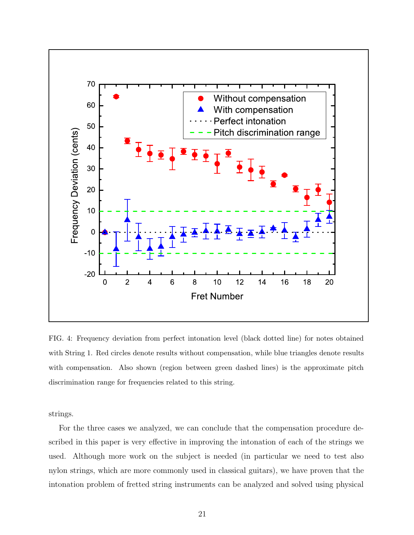

<span id="page-20-0"></span>FIG. 4: Frequency deviation from perfect intonation level (black dotted line) for notes obtained with String 1. Red circles denote results without compensation, while blue triangles denote results with compensation. Also shown (region between green dashed lines) is the approximate pitch discrimination range for frequencies related to this string.

strings.

For the three cases we analyzed, we can conclude that the compensation procedure described in this paper is very effective in improving the intonation of each of the strings we used. Although more work on the subject is needed (in particular we need to test also nylon strings, which are more commonly used in classical guitars), we have proven that the intonation problem of fretted string instruments can be analyzed and solved using physical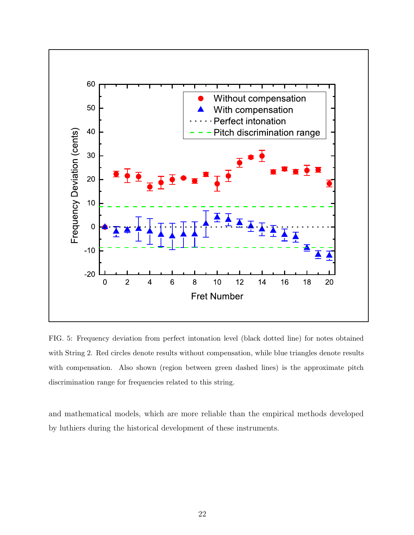

<span id="page-21-0"></span>FIG. 5: Frequency deviation from perfect intonation level (black dotted line) for notes obtained with String 2. Red circles denote results without compensation, while blue triangles denote results with compensation. Also shown (region between green dashed lines) is the approximate pitch discrimination range for frequencies related to this string.

and mathematical models, which are more reliable than the empirical methods developed by luthiers during the historical development of these instruments.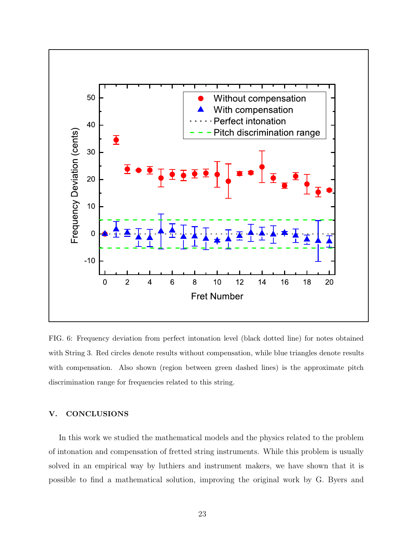

<span id="page-22-1"></span>FIG. 6: Frequency deviation from perfect intonation level (black dotted line) for notes obtained with String 3. Red circles denote results without compensation, while blue triangles denote results with compensation. Also shown (region between green dashed lines) is the approximate pitch discrimination range for frequencies related to this string.

# <span id="page-22-0"></span>V. CONCLUSIONS

In this work we studied the mathematical models and the physics related to the problem of intonation and compensation of fretted string instruments. While this problem is usually solved in an empirical way by luthiers and instrument makers, we have shown that it is possible to find a mathematical solution, improving the original work by G. Byers and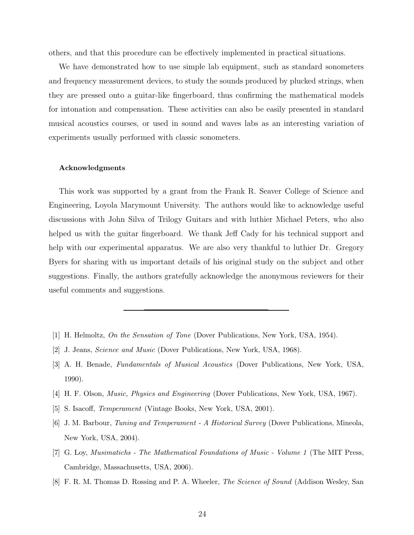others, and that this procedure can be effectively implemented in practical situations.

We have demonstrated how to use simple lab equipment, such as standard sonometers and frequency measurement devices, to study the sounds produced by plucked strings, when they are pressed onto a guitar-like fingerboard, thus confirming the mathematical models for intonation and compensation. These activities can also be easily presented in standard musical acoustics courses, or used in sound and waves labs as an interesting variation of experiments usually performed with classic sonometers.

#### <span id="page-23-0"></span>Acknowledgments

This work was supported by a grant from the Frank R. Seaver College of Science and Engineering, Loyola Marymount University. The authors would like to acknowledge useful discussions with John Silva of Trilogy Guitars and with luthier Michael Peters, who also helped us with the guitar fingerboard. We thank Jeff Cady for his technical support and help with our experimental apparatus. We are also very thankful to luthier Dr. Gregory Byers for sharing with us important details of his original study on the subject and other suggestions. Finally, the authors gratefully acknowledge the anonymous reviewers for their useful comments and suggestions.

- <span id="page-23-3"></span><span id="page-23-2"></span><span id="page-23-1"></span>[1] H. Helmoltz, On the Sensation of Tone (Dover Publications, New York, USA, 1954).
- [2] J. Jeans, *Science and Music* (Dover Publications, New York, USA, 1968).
- <span id="page-23-4"></span>[3] A. H. Benade, Fundamentals of Musical Acoustics (Dover Publications, New York, USA, 1990).
- <span id="page-23-5"></span>[4] H. F. Olson, Music, Physics and Engineering (Dover Publications, New York, USA, 1967).
- <span id="page-23-6"></span>[5] S. Isacoff, Temperament (Vintage Books, New York, USA, 2001).
- <span id="page-23-7"></span>[6] J. M. Barbour, Tuning and Temperament - A Historical Survey (Dover Publications, Mineola, New York, USA, 2004).
- <span id="page-23-8"></span>[7] G. Loy, Musimatichs - The Mathematical Foundations of Music - Volume 1 (The MIT Press, Cambridge, Massachusetts, USA, 2006).
- <span id="page-23-9"></span>[8] F. R. M. Thomas D. Rossing and P. A. Wheeler, The Science of Sound (Addison Wesley, San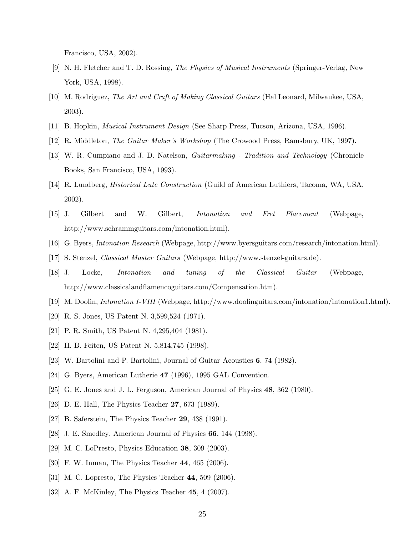Francisco, USA, 2002).

- <span id="page-24-0"></span>[9] N. H. Fletcher and T. D. Rossing, The Physics of Musical Instruments (Springer-Verlag, New York, USA, 1998).
- <span id="page-24-1"></span>[10] M. Rodriguez, The Art and Craft of Making Classical Guitars (Hal Leonard, Milwaukee, USA, 2003).
- <span id="page-24-3"></span><span id="page-24-2"></span>[11] B. Hopkin, Musical Instrument Design (See Sharp Press, Tucson, Arizona, USA, 1996).
- <span id="page-24-4"></span>[12] R. Middleton, The Guitar Maker's Workshop (The Crowood Press, Ramsbury, UK, 1997).
- [13] W. R. Cumpiano and J. D. Natelson, Guitarmaking Tradition and Technology (Chronicle Books, San Francisco, USA, 1993).
- <span id="page-24-5"></span>[14] R. Lundberg, Historical Lute Construction (Guild of American Luthiers, Tacoma, WA, USA, 2002).
- <span id="page-24-6"></span>[15] J. Gilbert and W. Gilbert, Intonation and Fret Placement (Webpage, http://www.schrammguitars.com/intonation.html).
- <span id="page-24-8"></span><span id="page-24-7"></span>[16] G. Byers, Intonation Research (Webpage, http://www.byersguitars.com/research/intonation.html).
- [17] S. Stenzel, Classical Master Guitars (Webpage, http://www.stenzel-guitars.de).
- <span id="page-24-9"></span>[18] J. Locke, Intonation and tuning of the Classical Guitar (Webpage, http://www.classicalandflamencoguitars.com/Compensation.htm).
- <span id="page-24-10"></span>[19] M. Doolin, Intonation I-VIII (Webpage, http://www.doolinguitars.com/intonation/intonation1.html).
- <span id="page-24-11"></span>[20] R. S. Jones, US Patent N. 3,599,524 (1971).
- <span id="page-24-13"></span><span id="page-24-12"></span>[21] P. R. Smith, US Patent N. 4,295,404 (1981).
- [22] H. B. Feiten, US Patent N. 5,814,745 (1998).
- <span id="page-24-14"></span>[23] W. Bartolini and P. Bartolini, Journal of Guitar Acoustics 6, 74 (1982).
- <span id="page-24-16"></span><span id="page-24-15"></span>[24] G. Byers, American Lutherie 47 (1996), 1995 GAL Convention.
- [25] G. E. Jones and J. L. Ferguson, American Journal of Physics 48, 362 (1980).
- <span id="page-24-17"></span>[26] D. E. Hall, The Physics Teacher 27, 673 (1989).
- <span id="page-24-18"></span>[27] B. Saferstein, The Physics Teacher 29, 438 (1991).
- <span id="page-24-19"></span>[28] J. E. Smedley, American Journal of Physics 66, 144 (1998).
- <span id="page-24-20"></span>[29] M. C. LoPresto, Physics Education 38, 309 (2003).
- <span id="page-24-21"></span>[30] F. W. Inman, The Physics Teacher 44, 465 (2006).
- <span id="page-24-22"></span>[31] M. C. Lopresto, The Physics Teacher 44, 509 (2006).
- <span id="page-24-23"></span>[32] A. F. McKinley, The Physics Teacher 45, 4 (2007).